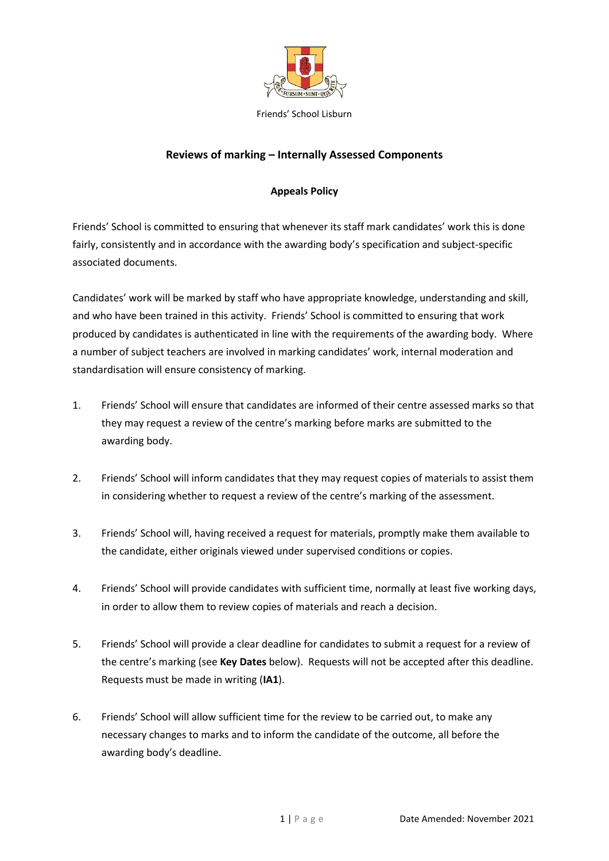

#### **Reviews of marking – Internally Assessed Components**

#### **Appeals Policy**

Friends' School is committed to ensuring that whenever its staff mark candidates' work this is done fairly, consistently and in accordance with the awarding body's specification and subject-specific associated documents.

Candidates' work will be marked by staff who have appropriate knowledge, understanding and skill, and who have been trained in this activity. Friends' School is committed to ensuring that work produced by candidates is authenticated in line with the requirements of the awarding body. Where a number of subject teachers are involved in marking candidates' work, internal moderation and standardisation will ensure consistency of marking.

- 1. Friends' School will ensure that candidates are informed of their centre assessed marks so that they may request a review of the centre's marking before marks are submitted to the awarding body.
- 2. Friends' School will inform candidates that they may request copies of materials to assist them in considering whether to request a review of the centre's marking of the assessment.
- 3. Friends' School will, having received a request for materials, promptly make them available to the candidate, either originals viewed under supervised conditions or copies.
- 4. Friends' School will provide candidates with sufficient time, normally at least five working days, in order to allow them to review copies of materials and reach a decision.
- 5. Friends' School will provide a clear deadline for candidates to submit a request for a review of the centre's marking (see **Key Dates** below). Requests will not be accepted after this deadline. Requests must be made in writing (**IA1**).
- 6. Friends' School will allow sufficient time for the review to be carried out, to make any necessary changes to marks and to inform the candidate of the outcome, all before the awarding body's deadline.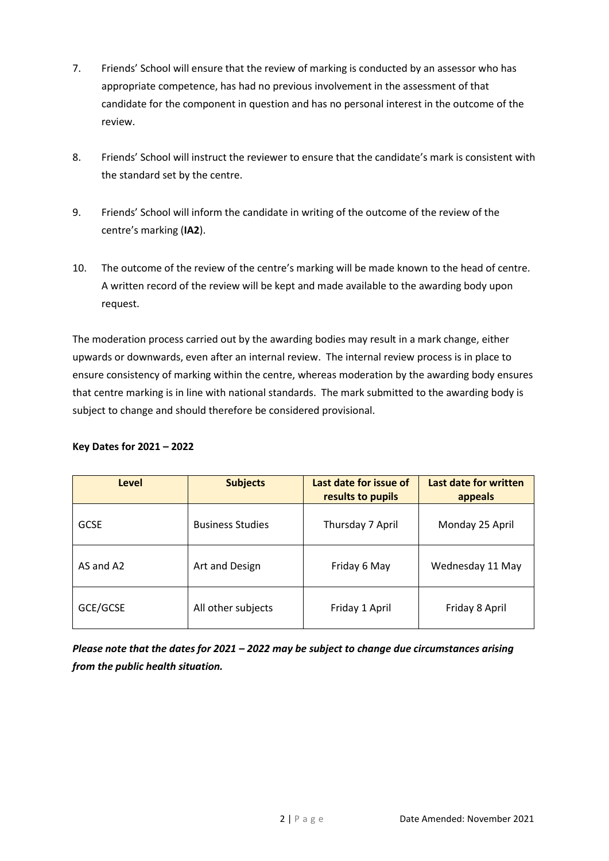- 7. Friends' School will ensure that the review of marking is conducted by an assessor who has appropriate competence, has had no previous involvement in the assessment of that candidate for the component in question and has no personal interest in the outcome of the review.
- 8. Friends' School will instruct the reviewer to ensure that the candidate's mark is consistent with the standard set by the centre.
- 9. Friends' School will inform the candidate in writing of the outcome of the review of the centre's marking (**IA2**).
- 10. The outcome of the review of the centre's marking will be made known to the head of centre. A written record of the review will be kept and made available to the awarding body upon request.

The moderation process carried out by the awarding bodies may result in a mark change, either upwards or downwards, even after an internal review. The internal review process is in place to ensure consistency of marking within the centre, whereas moderation by the awarding body ensures that centre marking is in line with national standards. The mark submitted to the awarding body is subject to change and should therefore be considered provisional.

#### **Key Dates for 2021 – 2022**

| Level       | <b>Subjects</b>         | Last date for issue of<br>results to pupils | Last date for written<br>appeals |
|-------------|-------------------------|---------------------------------------------|----------------------------------|
| <b>GCSE</b> | <b>Business Studies</b> | Thursday 7 April                            | Monday 25 April                  |
| AS and A2   | Art and Design          | Friday 6 May                                | Wednesday 11 May                 |
| GCE/GCSE    | All other subjects      | Friday 1 April                              | Friday 8 April                   |

*Please note that the dates for 2021 – 2022 may be subject to change due circumstances arising from the public health situation.*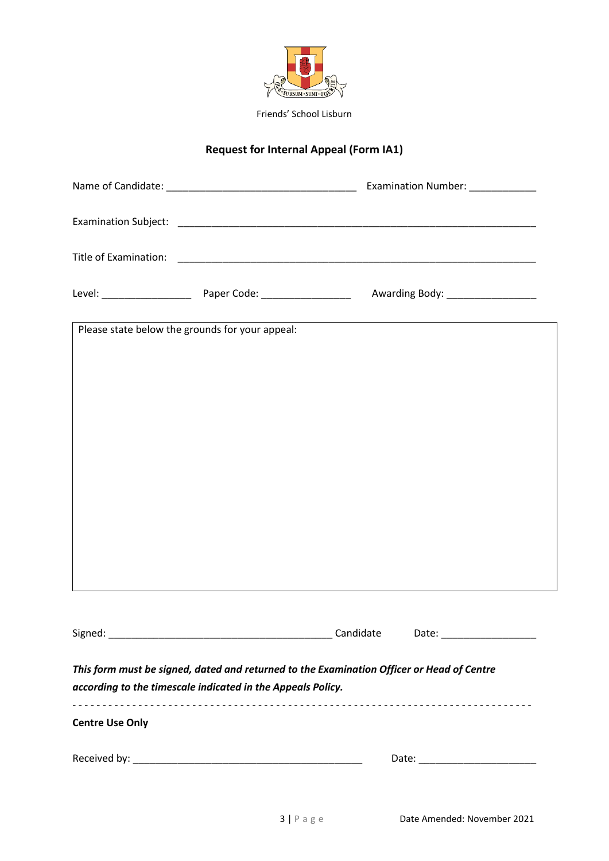

# **Request for Internal Appeal (Form IA1)**

|                                                                                                                                                          |  |           | Examination Number: ____________  |  |  |
|----------------------------------------------------------------------------------------------------------------------------------------------------------|--|-----------|-----------------------------------|--|--|
|                                                                                                                                                          |  |           |                                   |  |  |
|                                                                                                                                                          |  |           |                                   |  |  |
|                                                                                                                                                          |  |           | Awarding Body: __________________ |  |  |
| Please state below the grounds for your appeal:                                                                                                          |  |           |                                   |  |  |
|                                                                                                                                                          |  |           |                                   |  |  |
|                                                                                                                                                          |  |           |                                   |  |  |
|                                                                                                                                                          |  |           |                                   |  |  |
|                                                                                                                                                          |  |           |                                   |  |  |
|                                                                                                                                                          |  |           |                                   |  |  |
|                                                                                                                                                          |  |           |                                   |  |  |
|                                                                                                                                                          |  |           |                                   |  |  |
|                                                                                                                                                          |  |           |                                   |  |  |
| Signed:                                                                                                                                                  |  | Candidate | Date:                             |  |  |
| This form must be signed, dated and returned to the Examination Officer or Head of Centre<br>according to the timescale indicated in the Appeals Policy. |  |           |                                   |  |  |
| <b>Centre Use Only</b>                                                                                                                                   |  |           |                                   |  |  |
|                                                                                                                                                          |  |           |                                   |  |  |
|                                                                                                                                                          |  |           |                                   |  |  |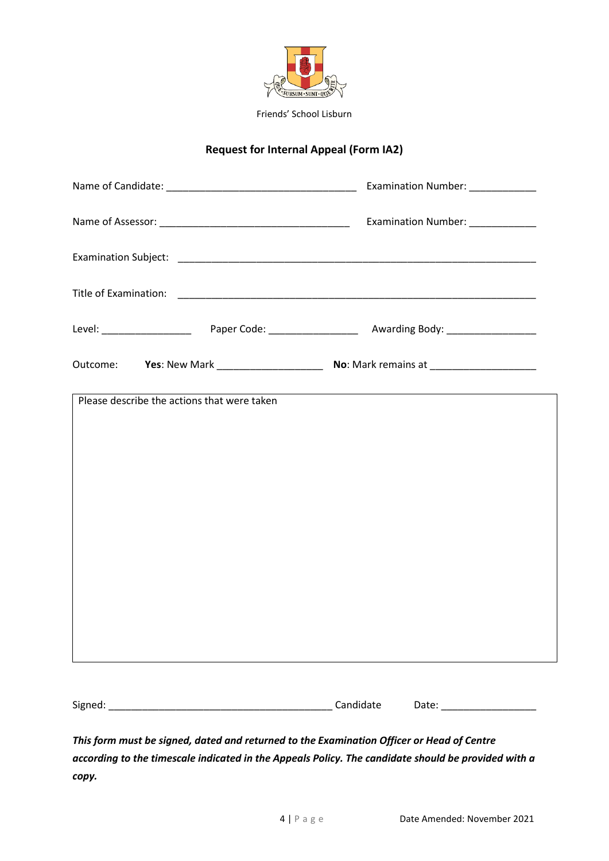

### **Request for Internal Appeal (Form IA2)**

| Outcome: Yes: New Mark ________________________ No: Mark remains at ___________________ |  |  |  |
|-----------------------------------------------------------------------------------------|--|--|--|
| Please describe the actions that were taken                                             |  |  |  |
|                                                                                         |  |  |  |
|                                                                                         |  |  |  |
|                                                                                         |  |  |  |
|                                                                                         |  |  |  |
|                                                                                         |  |  |  |
|                                                                                         |  |  |  |
|                                                                                         |  |  |  |
|                                                                                         |  |  |  |

*This form must be signed, dated and returned to the Examination Officer or Head of Centre according to the timescale indicated in the Appeals Policy. The candidate should be provided with a copy.*